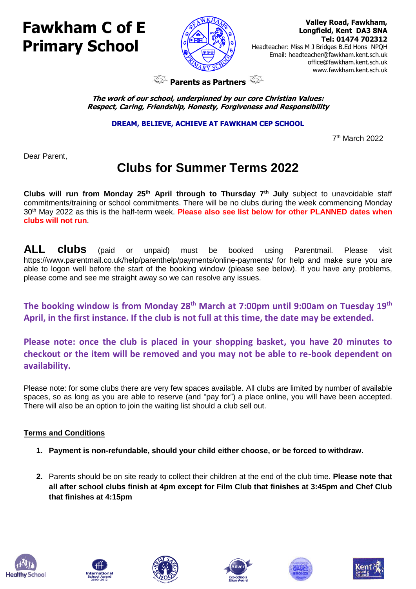## **Fawkham C of E Primary School**



 **Valley Road, Fawkham, Longfield, Kent DA3 8NA Tel: 01474 702312** 

Headteacher: Miss M J Bridges B.Ed Hons NPQH Email: headteacher@fawkham.kent.sch.uk [office@fawkham.kent.sch.uk](mailto:office@fawkham.kent.sch.uk) www.fawkham.kent.sch.uk

**Parents as Partners** 

**The work of our school, underpinned by our core Christian Values: Respect, Caring, Friendship, Honesty, Forgiveness and Responsibility**

**DREAM, BELIEVE, ACHIEVE AT FAWKHAM CEP SCHOOL**

 7  $7<sup>th</sup>$  March 2022

Dear Parent,

## **Clubs for Summer Terms 2022**

**Clubs will run from Monday 25th April through to Thursday 7th July** subject to unavoidable staff commitments/training or school commitments. There will be no clubs during the week commencing Monday 30th May 2022 as this is the half-term week. **Please also see list below for other PLANNED dates when clubs will not run**.

**ALL clubs** (paid or unpaid) must be booked using Parentmail. Please visit https://www.parentmail.co.uk/help/parenthelp/payments/online-payments/ for help and make sure you are able to logon well before the start of the booking window (please see below). If you have any problems, please come and see me straight away so we can resolve any issues.

**The booking window is from Monday 28th March at 7:00pm until 9:00am on Tuesday 19th April, in the first instance. If the club is not full at this time, the date may be extended.** 

**Please note: once the club is placed in your shopping basket, you have 20 minutes to checkout or the item will be removed and you may not be able to re-book dependent on availability.**

Please note: for some clubs there are very few spaces available. All clubs are limited by number of available spaces, so as long as you are able to reserve (and "pay for") a place online, you will have been accepted. There will also be an option to join the waiting list should a club sell out.

## **Terms and Conditions**

- **1. Payment is non-refundable, should your child either choose, or be forced to withdraw.**
- **2.** Parents should be on site ready to collect their children at the end of the club time. **Please note that all after school clubs finish at 4pm except for Film Club that finishes at 3:45pm and Chef Club that finishes at 4:15pm**